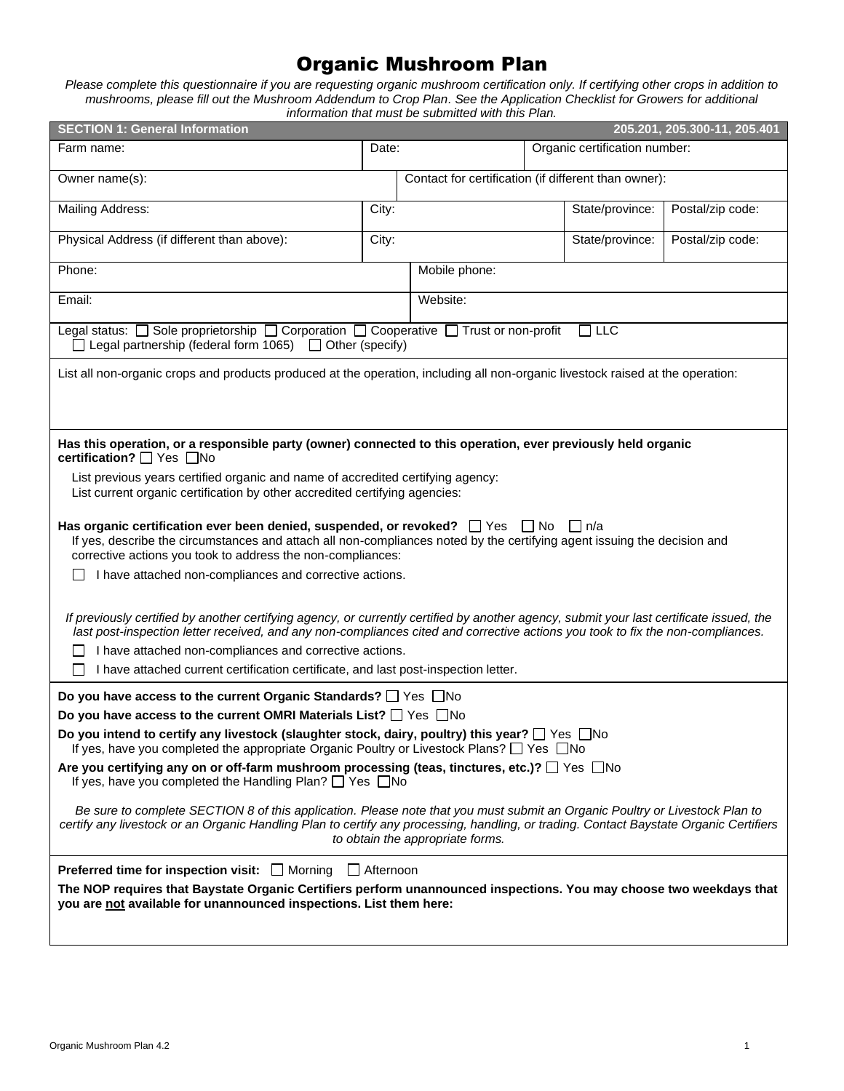# Organic Mushroom Plan

*Please complete this questionnaire if you are requesting organic mushroom certification only. If certifying other crops in addition to mushrooms, please fill out the Mushroom Addendum to Crop Plan. See the Application Checklist for Growers for additional information that must be submitted with this Plan.*

| <b>SECTION 1: General Information</b><br>205.201, 205.300-11, 205.401                                                                                                                                                                                                       |                                                                                                                                                                                                                                                                                                           |                                                      |  |                 |                  |  |  |
|-----------------------------------------------------------------------------------------------------------------------------------------------------------------------------------------------------------------------------------------------------------------------------|-----------------------------------------------------------------------------------------------------------------------------------------------------------------------------------------------------------------------------------------------------------------------------------------------------------|------------------------------------------------------|--|-----------------|------------------|--|--|
| Farm name:                                                                                                                                                                                                                                                                  | Date:                                                                                                                                                                                                                                                                                                     | Organic certification number:                        |  |                 |                  |  |  |
| Owner name(s):                                                                                                                                                                                                                                                              |                                                                                                                                                                                                                                                                                                           | Contact for certification (if different than owner): |  |                 |                  |  |  |
| Mailing Address:                                                                                                                                                                                                                                                            | City:                                                                                                                                                                                                                                                                                                     |                                                      |  | State/province: | Postal/zip code: |  |  |
| Physical Address (if different than above):                                                                                                                                                                                                                                 | City:                                                                                                                                                                                                                                                                                                     |                                                      |  | State/province: | Postal/zip code: |  |  |
| Phone:                                                                                                                                                                                                                                                                      |                                                                                                                                                                                                                                                                                                           | Mobile phone:                                        |  |                 |                  |  |  |
| Email:                                                                                                                                                                                                                                                                      |                                                                                                                                                                                                                                                                                                           | Website:                                             |  |                 |                  |  |  |
| Legal status: $\Box$ Sole proprietorship $\Box$ Corporation $\Box$ Cooperative $\Box$ Trust or non-profit<br>$\Box$ Legal partnership (federal form 1065) $\Box$ Other (specify)                                                                                            |                                                                                                                                                                                                                                                                                                           |                                                      |  | $\Box$ LLC      |                  |  |  |
| List all non-organic crops and products produced at the operation, including all non-organic livestock raised at the operation:                                                                                                                                             |                                                                                                                                                                                                                                                                                                           |                                                      |  |                 |                  |  |  |
| Has this operation, or a responsible party (owner) connected to this operation, ever previously held organic<br>certification? <sup>7</sup> Yes no                                                                                                                          |                                                                                                                                                                                                                                                                                                           |                                                      |  |                 |                  |  |  |
| List previous years certified organic and name of accredited certifying agency:<br>List current organic certification by other accredited certifying agencies:                                                                                                              |                                                                                                                                                                                                                                                                                                           |                                                      |  |                 |                  |  |  |
| corrective actions you took to address the non-compliances:                                                                                                                                                                                                                 | Has organic certification ever been denied, suspended, or revoked? $\Box$ Yes $\Box$ No $\Box$ n/a<br>If yes, describe the circumstances and attach all non-compliances noted by the certifying agent issuing the decision and                                                                            |                                                      |  |                 |                  |  |  |
| I have attached non-compliances and corrective actions.                                                                                                                                                                                                                     |                                                                                                                                                                                                                                                                                                           |                                                      |  |                 |                  |  |  |
| If previously certified by another certifying agency, or currently certified by another agency, submit your last certificate issued, the<br>last post-inspection letter received, and any non-compliances cited and corrective actions you took to fix the non-compliances. |                                                                                                                                                                                                                                                                                                           |                                                      |  |                 |                  |  |  |
| I have attached non-compliances and corrective actions.                                                                                                                                                                                                                     |                                                                                                                                                                                                                                                                                                           |                                                      |  |                 |                  |  |  |
| I have attached current certification certificate, and last post-inspection letter.                                                                                                                                                                                         |                                                                                                                                                                                                                                                                                                           |                                                      |  |                 |                  |  |  |
| Do you have access to the current Organic Standards? If Yes No                                                                                                                                                                                                              |                                                                                                                                                                                                                                                                                                           |                                                      |  |                 |                  |  |  |
| Do you have access to the current OMRI Materials List? □ Yes □No                                                                                                                                                                                                            |                                                                                                                                                                                                                                                                                                           |                                                      |  |                 |                  |  |  |
| Do you intend to certify any livestock (slaughter stock, dairy, poultry) this year? $\Box$ Yes $\Box$ No<br>If yes, have you completed the appropriate Organic Poultry or Livestock Plans? $\Box$ Yes $\Box$ No                                                             |                                                                                                                                                                                                                                                                                                           |                                                      |  |                 |                  |  |  |
| Are you certifying any on or off-farm mushroom processing (teas, tinctures, etc.)? □ Yes □ No<br>If yes, have you completed the Handling Plan? $\Box$ Yes $\Box$ No                                                                                                         |                                                                                                                                                                                                                                                                                                           |                                                      |  |                 |                  |  |  |
|                                                                                                                                                                                                                                                                             | Be sure to complete SECTION 8 of this application. Please note that you must submit an Organic Poultry or Livestock Plan to<br>certify any livestock or an Organic Handling Plan to certify any processing, handling, or trading. Contact Baystate Organic Certifiers<br>to obtain the appropriate forms. |                                                      |  |                 |                  |  |  |
| <b>Preferred time for inspection visit:</b> Morning                                                                                                                                                                                                                         | <b>□ Afternoon</b>                                                                                                                                                                                                                                                                                        |                                                      |  |                 |                  |  |  |
| The NOP requires that Baystate Organic Certifiers perform unannounced inspections. You may choose two weekdays that<br>you are not available for unannounced inspections. List them here:                                                                                   |                                                                                                                                                                                                                                                                                                           |                                                      |  |                 |                  |  |  |
|                                                                                                                                                                                                                                                                             |                                                                                                                                                                                                                                                                                                           |                                                      |  |                 |                  |  |  |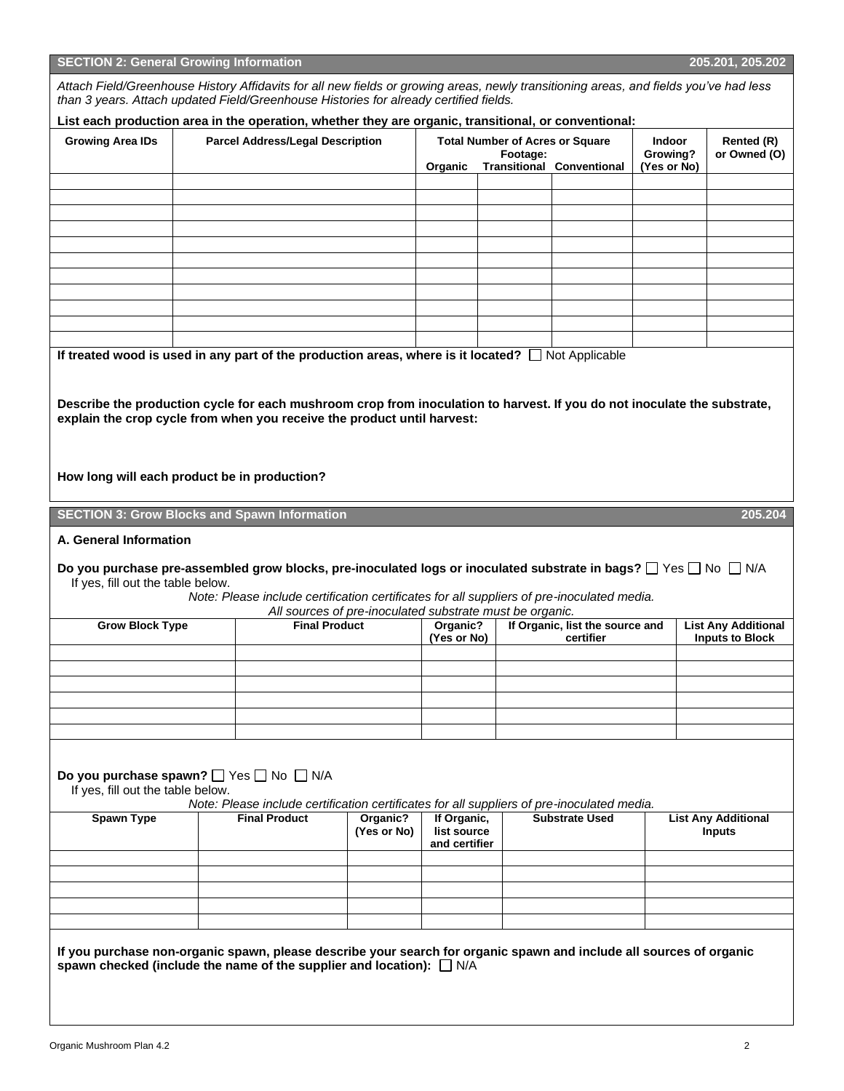| <b>SECTION 2: General Growing Information</b><br>205.201, 205.202                                                                                                                                                                                                                                                                                              |  |                                                                                                                                                        |                         |                                                                                                   |  |                                 |                                          |                                             |
|----------------------------------------------------------------------------------------------------------------------------------------------------------------------------------------------------------------------------------------------------------------------------------------------------------------------------------------------------------------|--|--------------------------------------------------------------------------------------------------------------------------------------------------------|-------------------------|---------------------------------------------------------------------------------------------------|--|---------------------------------|------------------------------------------|---------------------------------------------|
| Attach Field/Greenhouse History Affidavits for all new fields or growing areas, newly transitioning areas, and fields you've had less<br>than 3 years. Attach updated Field/Greenhouse Histories for already certified fields.                                                                                                                                 |  |                                                                                                                                                        |                         |                                                                                                   |  |                                 |                                          |                                             |
| List each production area in the operation, whether they are organic, transitional, or conventional:                                                                                                                                                                                                                                                           |  |                                                                                                                                                        |                         |                                                                                                   |  |                                 |                                          |                                             |
| <b>Growing Area IDs</b>                                                                                                                                                                                                                                                                                                                                        |  | <b>Parcel Address/Legal Description</b>                                                                                                                |                         | <b>Total Number of Acres or Square</b><br>Footage:<br><b>Transitional Conventional</b><br>Organic |  |                                 | <b>Indoor</b><br>Growing?<br>(Yes or No) | Rented (R)<br>or Owned (O)                  |
|                                                                                                                                                                                                                                                                                                                                                                |  |                                                                                                                                                        |                         |                                                                                                   |  |                                 |                                          |                                             |
|                                                                                                                                                                                                                                                                                                                                                                |  |                                                                                                                                                        |                         |                                                                                                   |  |                                 |                                          |                                             |
|                                                                                                                                                                                                                                                                                                                                                                |  |                                                                                                                                                        |                         |                                                                                                   |  |                                 |                                          |                                             |
|                                                                                                                                                                                                                                                                                                                                                                |  |                                                                                                                                                        |                         |                                                                                                   |  |                                 |                                          |                                             |
|                                                                                                                                                                                                                                                                                                                                                                |  |                                                                                                                                                        |                         |                                                                                                   |  |                                 |                                          |                                             |
|                                                                                                                                                                                                                                                                                                                                                                |  |                                                                                                                                                        |                         |                                                                                                   |  |                                 |                                          |                                             |
|                                                                                                                                                                                                                                                                                                                                                                |  |                                                                                                                                                        |                         |                                                                                                   |  |                                 |                                          |                                             |
|                                                                                                                                                                                                                                                                                                                                                                |  |                                                                                                                                                        |                         |                                                                                                   |  |                                 |                                          |                                             |
|                                                                                                                                                                                                                                                                                                                                                                |  |                                                                                                                                                        |                         |                                                                                                   |  |                                 |                                          |                                             |
|                                                                                                                                                                                                                                                                                                                                                                |  |                                                                                                                                                        |                         |                                                                                                   |  |                                 |                                          |                                             |
| If treated wood is used in any part of the production areas, where is it located? $\Box$ Not Applicable<br>Describe the production cycle for each mushroom crop from inoculation to harvest. If you do not inoculate the substrate,<br>explain the crop cycle from when you receive the product until harvest:<br>How long will each product be in production? |  |                                                                                                                                                        |                         |                                                                                                   |  |                                 |                                          |                                             |
| <b>SECTION 3: Grow Blocks and Spawn Information</b>                                                                                                                                                                                                                                                                                                            |  |                                                                                                                                                        |                         |                                                                                                   |  |                                 |                                          | 205.204                                     |
| A. General Information<br>Do you purchase pre-assembled grow blocks, pre-inoculated logs or inoculated substrate in bags? $\Box$ Yes $\Box$ No $\Box$ N/A<br>If yes, fill out the table below.                                                                                                                                                                 |  | Note: Please include certification certificates for all suppliers of pre-inoculated media.<br>All sources of pre-inoculated substrate must be organic. |                         |                                                                                                   |  |                                 |                                          |                                             |
| <b>Grow Block Type</b>                                                                                                                                                                                                                                                                                                                                         |  | <b>Final Product</b>                                                                                                                                   |                         | Organic?                                                                                          |  | If Organic, list the source and |                                          | <b>List Any Additional</b>                  |
|                                                                                                                                                                                                                                                                                                                                                                |  |                                                                                                                                                        |                         | (Yes or No)                                                                                       |  | certifier                       |                                          | <b>Inputs to Block</b>                      |
|                                                                                                                                                                                                                                                                                                                                                                |  |                                                                                                                                                        |                         |                                                                                                   |  |                                 |                                          |                                             |
|                                                                                                                                                                                                                                                                                                                                                                |  |                                                                                                                                                        |                         |                                                                                                   |  |                                 |                                          |                                             |
|                                                                                                                                                                                                                                                                                                                                                                |  |                                                                                                                                                        |                         |                                                                                                   |  |                                 |                                          |                                             |
|                                                                                                                                                                                                                                                                                                                                                                |  |                                                                                                                                                        |                         |                                                                                                   |  |                                 |                                          |                                             |
|                                                                                                                                                                                                                                                                                                                                                                |  |                                                                                                                                                        |                         |                                                                                                   |  |                                 |                                          |                                             |
| Do you purchase spawn? [ Yes [ No [ N/A<br>If yes, fill out the table below.                                                                                                                                                                                                                                                                                   |  | Note: Please include certification certificates for all suppliers of pre-inoculated media.                                                             |                         |                                                                                                   |  |                                 |                                          |                                             |
| <b>Spawn Type</b>                                                                                                                                                                                                                                                                                                                                              |  | <b>Final Product</b>                                                                                                                                   | Organic?<br>(Yes or No) | If Organic,<br>list source<br>and certifier                                                       |  | <b>Substrate Used</b>           |                                          | <b>List Any Additional</b><br><b>Inputs</b> |
|                                                                                                                                                                                                                                                                                                                                                                |  |                                                                                                                                                        |                         |                                                                                                   |  |                                 |                                          |                                             |
|                                                                                                                                                                                                                                                                                                                                                                |  |                                                                                                                                                        |                         |                                                                                                   |  |                                 |                                          |                                             |
|                                                                                                                                                                                                                                                                                                                                                                |  |                                                                                                                                                        |                         |                                                                                                   |  |                                 |                                          |                                             |
|                                                                                                                                                                                                                                                                                                                                                                |  |                                                                                                                                                        |                         |                                                                                                   |  |                                 |                                          |                                             |
| If you purchase non-organic spawn, please describe your search for organic spawn and include all sources of organic<br>spawn checked (include the name of the supplier and location): $\Box$ N/A                                                                                                                                                               |  |                                                                                                                                                        |                         |                                                                                                   |  |                                 |                                          |                                             |
|                                                                                                                                                                                                                                                                                                                                                                |  |                                                                                                                                                        |                         |                                                                                                   |  |                                 |                                          |                                             |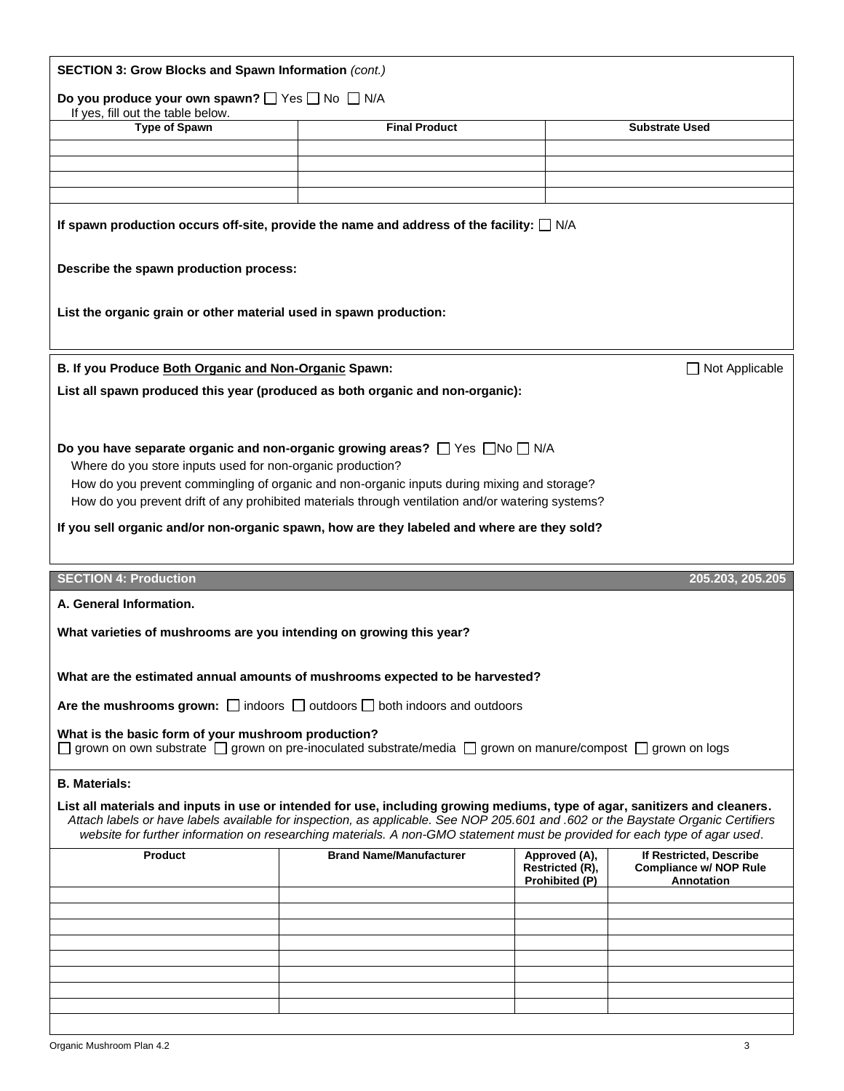|                                                                                                                       | SECTION 3: Grow Blocks and Spawn Information (cont.)                                                                                                                                                                                                                                                                                                                                           |                                  |                                                          |  |  |  |
|-----------------------------------------------------------------------------------------------------------------------|------------------------------------------------------------------------------------------------------------------------------------------------------------------------------------------------------------------------------------------------------------------------------------------------------------------------------------------------------------------------------------------------|----------------------------------|----------------------------------------------------------|--|--|--|
| Do you produce your own spawn? <sup>1</sup> Yes <sup>1</sup> No <sup>1</sup> N/A<br>If yes, fill out the table below. |                                                                                                                                                                                                                                                                                                                                                                                                |                                  |                                                          |  |  |  |
| <b>Type of Spawn</b>                                                                                                  | <b>Final Product</b>                                                                                                                                                                                                                                                                                                                                                                           |                                  | <b>Substrate Used</b>                                    |  |  |  |
|                                                                                                                       |                                                                                                                                                                                                                                                                                                                                                                                                |                                  |                                                          |  |  |  |
|                                                                                                                       |                                                                                                                                                                                                                                                                                                                                                                                                |                                  |                                                          |  |  |  |
|                                                                                                                       |                                                                                                                                                                                                                                                                                                                                                                                                |                                  |                                                          |  |  |  |
| If spawn production occurs off-site, provide the name and address of the facility: $\Box$ N/A                         |                                                                                                                                                                                                                                                                                                                                                                                                |                                  |                                                          |  |  |  |
| Describe the spawn production process:                                                                                |                                                                                                                                                                                                                                                                                                                                                                                                |                                  |                                                          |  |  |  |
| List the organic grain or other material used in spawn production:                                                    |                                                                                                                                                                                                                                                                                                                                                                                                |                                  |                                                          |  |  |  |
| B. If you Produce Both Organic and Non-Organic Spawn:                                                                 |                                                                                                                                                                                                                                                                                                                                                                                                |                                  | Not Applicable                                           |  |  |  |
|                                                                                                                       | List all spawn produced this year (produced as both organic and non-organic):                                                                                                                                                                                                                                                                                                                  |                                  |                                                          |  |  |  |
|                                                                                                                       |                                                                                                                                                                                                                                                                                                                                                                                                |                                  |                                                          |  |  |  |
| Where do you store inputs used for non-organic production?                                                            | Do you have separate organic and non-organic growing areas? $\Box$ Yes $\Box$ No $\Box$ N/A                                                                                                                                                                                                                                                                                                    |                                  |                                                          |  |  |  |
|                                                                                                                       | How do you prevent commingling of organic and non-organic inputs during mixing and storage?                                                                                                                                                                                                                                                                                                    |                                  |                                                          |  |  |  |
|                                                                                                                       | How do you prevent drift of any prohibited materials through ventilation and/or watering systems?                                                                                                                                                                                                                                                                                              |                                  |                                                          |  |  |  |
|                                                                                                                       | If you sell organic and/or non-organic spawn, how are they labeled and where are they sold?                                                                                                                                                                                                                                                                                                    |                                  |                                                          |  |  |  |
| <b>SECTION 4: Production</b>                                                                                          |                                                                                                                                                                                                                                                                                                                                                                                                |                                  | 205.203, 205.205                                         |  |  |  |
| A. General Information.                                                                                               |                                                                                                                                                                                                                                                                                                                                                                                                |                                  |                                                          |  |  |  |
| What varieties of mushrooms are you intending on growing this year?                                                   |                                                                                                                                                                                                                                                                                                                                                                                                |                                  |                                                          |  |  |  |
|                                                                                                                       |                                                                                                                                                                                                                                                                                                                                                                                                |                                  |                                                          |  |  |  |
|                                                                                                                       | What are the estimated annual amounts of mushrooms expected to be harvested?                                                                                                                                                                                                                                                                                                                   |                                  |                                                          |  |  |  |
|                                                                                                                       | Are the mushrooms grown: $\Box$ indoors $\Box$ outdoors $\Box$ both indoors and outdoors                                                                                                                                                                                                                                                                                                       |                                  |                                                          |  |  |  |
|                                                                                                                       |                                                                                                                                                                                                                                                                                                                                                                                                |                                  |                                                          |  |  |  |
| What is the basic form of your mushroom production?                                                                   | $\Box$ grown on own substrate $\Box$ grown on pre-inoculated substrate/media $\Box$ grown on manure/compost $\Box$ grown on logs                                                                                                                                                                                                                                                               |                                  |                                                          |  |  |  |
| <b>B.</b> Materials:                                                                                                  |                                                                                                                                                                                                                                                                                                                                                                                                |                                  |                                                          |  |  |  |
|                                                                                                                       | List all materials and inputs in use or intended for use, including growing mediums, type of agar, sanitizers and cleaners.<br>Attach labels or have labels available for inspection, as applicable. See NOP 205.601 and .602 or the Baystate Organic Certifiers<br>website for further information on researching materials. A non-GMO statement must be provided for each type of agar used. |                                  |                                                          |  |  |  |
| Product                                                                                                               | <b>Brand Name/Manufacturer</b>                                                                                                                                                                                                                                                                                                                                                                 | Approved (A),<br>Restricted (R), | If Restricted, Describe<br><b>Compliance w/ NOP Rule</b> |  |  |  |
|                                                                                                                       |                                                                                                                                                                                                                                                                                                                                                                                                | Prohibited (P)                   | Annotation                                               |  |  |  |
|                                                                                                                       |                                                                                                                                                                                                                                                                                                                                                                                                |                                  |                                                          |  |  |  |
|                                                                                                                       |                                                                                                                                                                                                                                                                                                                                                                                                |                                  |                                                          |  |  |  |
|                                                                                                                       |                                                                                                                                                                                                                                                                                                                                                                                                |                                  |                                                          |  |  |  |
|                                                                                                                       |                                                                                                                                                                                                                                                                                                                                                                                                |                                  |                                                          |  |  |  |
|                                                                                                                       |                                                                                                                                                                                                                                                                                                                                                                                                |                                  |                                                          |  |  |  |
|                                                                                                                       |                                                                                                                                                                                                                                                                                                                                                                                                |                                  |                                                          |  |  |  |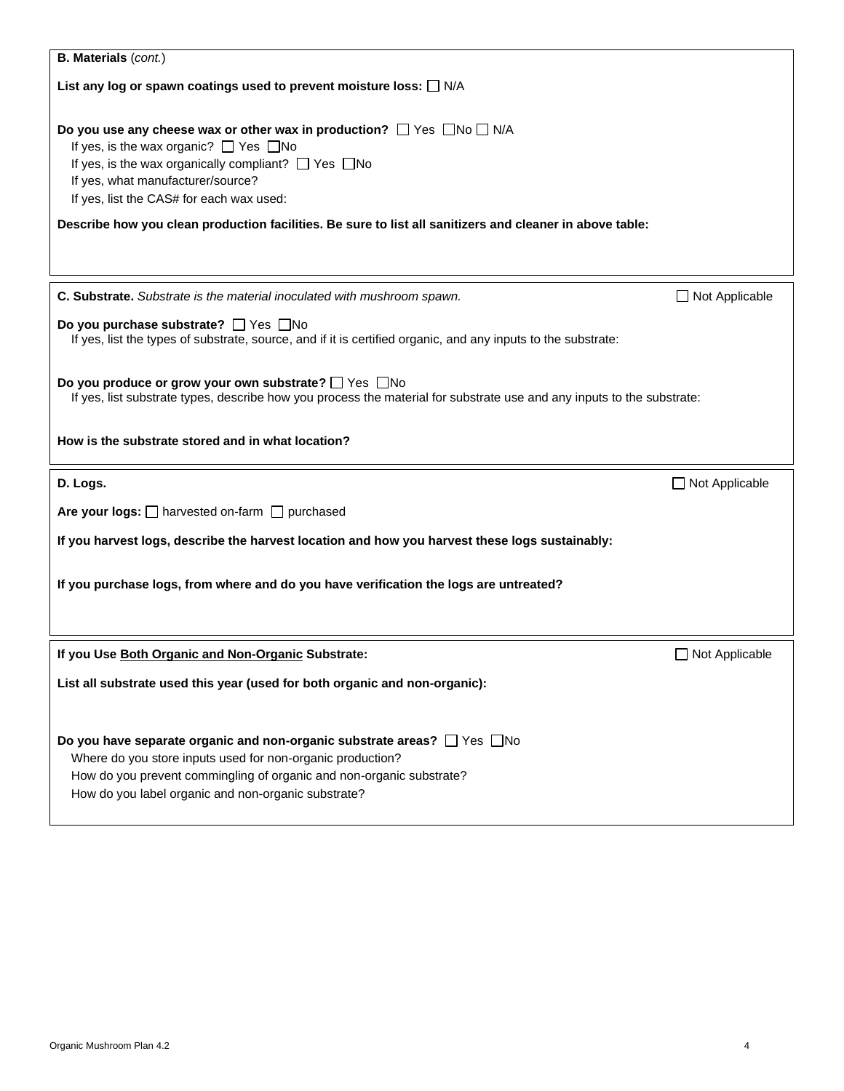| <b>B. Materials (cont.)</b>                                                                                                                                                                                                                                                                                                                                                                              |                       |  |  |  |
|----------------------------------------------------------------------------------------------------------------------------------------------------------------------------------------------------------------------------------------------------------------------------------------------------------------------------------------------------------------------------------------------------------|-----------------------|--|--|--|
| List any log or spawn coatings used to prevent moisture loss: $\Box$ N/A                                                                                                                                                                                                                                                                                                                                 |                       |  |  |  |
| Do you use any cheese wax or other wax in production? $\Box$ Yes $\Box$ No $\Box$ N/A<br>If yes, is the wax organic? $\Box$ Yes $\Box$ No<br>If yes, is the wax organically compliant? $\Box$ Yes $\Box$ No<br>If yes, what manufacturer/source?<br>If yes, list the CAS# for each wax used:<br>Describe how you clean production facilities. Be sure to list all sanitizers and cleaner in above table: |                       |  |  |  |
| C. Substrate. Substrate is the material inoculated with mushroom spawn.                                                                                                                                                                                                                                                                                                                                  | $\Box$ Not Applicable |  |  |  |
| Do you purchase substrate? □ Yes □ No<br>If yes, list the types of substrate, source, and if it is certified organic, and any inputs to the substrate:                                                                                                                                                                                                                                                   |                       |  |  |  |
| Do you produce or grow your own substrate? □ Yes □No<br>If yes, list substrate types, describe how you process the material for substrate use and any inputs to the substrate:                                                                                                                                                                                                                           |                       |  |  |  |
| How is the substrate stored and in what location?                                                                                                                                                                                                                                                                                                                                                        |                       |  |  |  |
| D. Logs.                                                                                                                                                                                                                                                                                                                                                                                                 | $\Box$ Not Applicable |  |  |  |
| Are your logs: $\Box$ harvested on-farm $\Box$ purchased                                                                                                                                                                                                                                                                                                                                                 |                       |  |  |  |
| If you harvest logs, describe the harvest location and how you harvest these logs sustainably:                                                                                                                                                                                                                                                                                                           |                       |  |  |  |
| If you purchase logs, from where and do you have verification the logs are untreated?                                                                                                                                                                                                                                                                                                                    |                       |  |  |  |
| If you Use Both Organic and Non-Organic Substrate:                                                                                                                                                                                                                                                                                                                                                       | $\Box$ Not Applicable |  |  |  |
| List all substrate used this year (used for both organic and non-organic):                                                                                                                                                                                                                                                                                                                               |                       |  |  |  |
| Do you have separate organic and non-organic substrate areas? □ Yes □ No<br>Where do you store inputs used for non-organic production?<br>How do you prevent commingling of organic and non-organic substrate?<br>How do you label organic and non-organic substrate?                                                                                                                                    |                       |  |  |  |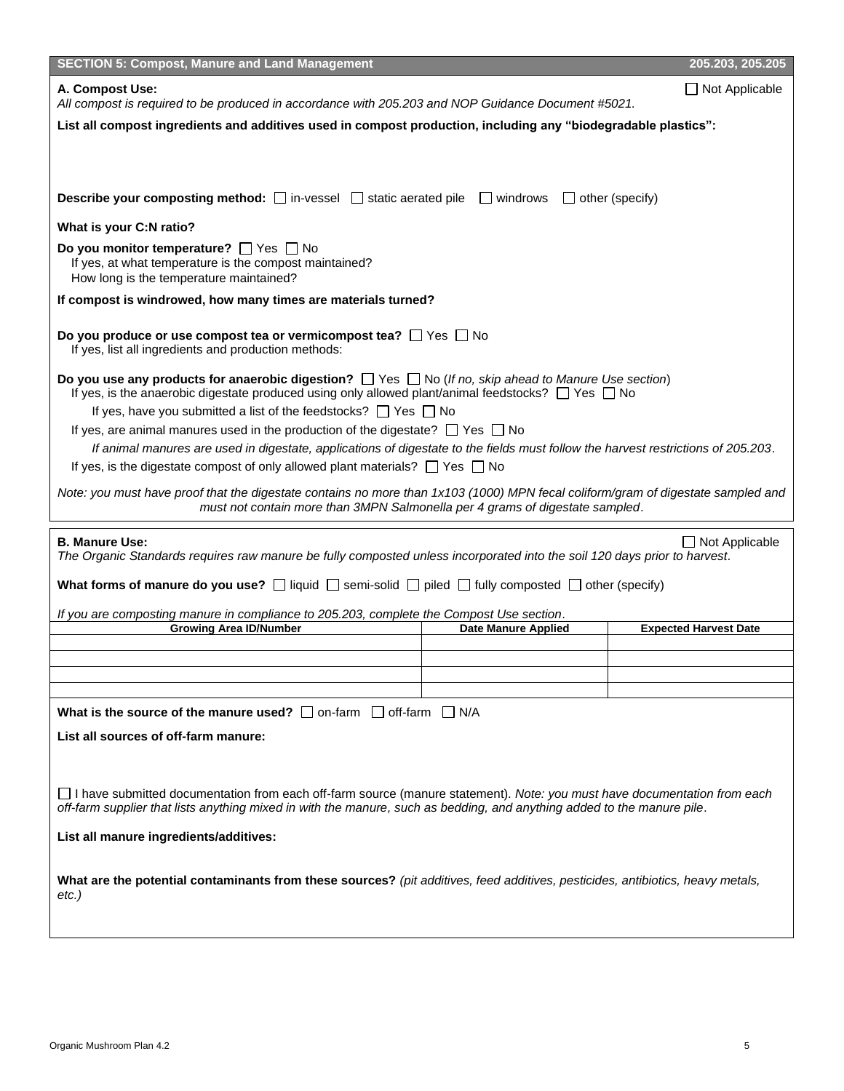| <b>SECTION 5: Compost, Manure and Land Management</b>                                                                                                                                                                                                                                                                                                                                                                                                                                                                                         |                            | 205.203, 205.205             |  |  |
|-----------------------------------------------------------------------------------------------------------------------------------------------------------------------------------------------------------------------------------------------------------------------------------------------------------------------------------------------------------------------------------------------------------------------------------------------------------------------------------------------------------------------------------------------|----------------------------|------------------------------|--|--|
| A. Compost Use:<br>All compost is required to be produced in accordance with 205.203 and NOP Guidance Document #5021.                                                                                                                                                                                                                                                                                                                                                                                                                         |                            | $\Box$ Not Applicable        |  |  |
| List all compost ingredients and additives used in compost production, including any "biodegradable plastics":                                                                                                                                                                                                                                                                                                                                                                                                                                |                            |                              |  |  |
|                                                                                                                                                                                                                                                                                                                                                                                                                                                                                                                                               |                            |                              |  |  |
| <b>Describe your composting method:</b> □ in-vessel □ static aerated pile □ windrows                                                                                                                                                                                                                                                                                                                                                                                                                                                          |                            | $\Box$ other (specify)       |  |  |
| What is your C:N ratio?                                                                                                                                                                                                                                                                                                                                                                                                                                                                                                                       |                            |                              |  |  |
| Do you monitor temperature? $\Box$ Yes $\Box$ No<br>If yes, at what temperature is the compost maintained?<br>How long is the temperature maintained?                                                                                                                                                                                                                                                                                                                                                                                         |                            |                              |  |  |
| If compost is windrowed, how many times are materials turned?                                                                                                                                                                                                                                                                                                                                                                                                                                                                                 |                            |                              |  |  |
| Do you produce or use compost tea or vermicompost tea? $\Box$ Yes $\Box$ No<br>If yes, list all ingredients and production methods:                                                                                                                                                                                                                                                                                                                                                                                                           |                            |                              |  |  |
| Do you use any products for anaerobic digestion? $\Box$ Yes $\Box$ No (If no, skip ahead to Manure Use section)<br>If yes, is the anaerobic digestate produced using only allowed plant/animal feedstocks? $\Box$ Yes $\Box$ No<br>If yes, have you submitted a list of the feedstocks? $\Box$ Yes $\Box$ No<br>If yes, are animal manures used in the production of the digestate? $\Box$ Yes $\Box$ No<br>If animal manures are used in digestate, applications of digestate to the fields must follow the harvest restrictions of 205.203. |                            |                              |  |  |
| If yes, is the digestate compost of only allowed plant materials? $\Box$ Yes $\Box$ No                                                                                                                                                                                                                                                                                                                                                                                                                                                        |                            |                              |  |  |
| Note: you must have proof that the digestate contains no more than 1x103 (1000) MPN fecal coliform/gram of digestate sampled and<br>must not contain more than 3MPN Salmonella per 4 grams of digestate sampled.                                                                                                                                                                                                                                                                                                                              |                            |                              |  |  |
| <b>B. Manure Use:</b><br>The Organic Standards requires raw manure be fully composted unless incorporated into the soil 120 days prior to harvest.                                                                                                                                                                                                                                                                                                                                                                                            |                            | $\Box$ Not Applicable        |  |  |
| What forms of manure do you use? $\Box$ liquid $\Box$ semi-solid $\Box$ piled $\Box$ fully composted $\Box$ other (specify)                                                                                                                                                                                                                                                                                                                                                                                                                   |                            |                              |  |  |
| If you are composting manure in compliance to 205.203, complete the Compost Use section.                                                                                                                                                                                                                                                                                                                                                                                                                                                      |                            |                              |  |  |
| <b>Growing Area ID/Number</b>                                                                                                                                                                                                                                                                                                                                                                                                                                                                                                                 | <b>Date Manure Applied</b> | <b>Expected Harvest Date</b> |  |  |
|                                                                                                                                                                                                                                                                                                                                                                                                                                                                                                                                               |                            |                              |  |  |
|                                                                                                                                                                                                                                                                                                                                                                                                                                                                                                                                               |                            |                              |  |  |
| What is the source of the manure used? $\Box$ on-farm $\Box$ off-farm $\Box$ N/A                                                                                                                                                                                                                                                                                                                                                                                                                                                              |                            |                              |  |  |
| List all sources of off-farm manure:                                                                                                                                                                                                                                                                                                                                                                                                                                                                                                          |                            |                              |  |  |
|                                                                                                                                                                                                                                                                                                                                                                                                                                                                                                                                               |                            |                              |  |  |
| □ I have submitted documentation from each off-farm source (manure statement). Note: you must have documentation from each<br>off-farm supplier that lists anything mixed in with the manure, such as bedding, and anything added to the manure pile.                                                                                                                                                                                                                                                                                         |                            |                              |  |  |
| List all manure ingredients/additives:                                                                                                                                                                                                                                                                                                                                                                                                                                                                                                        |                            |                              |  |  |
| What are the potential contaminants from these sources? (pit additives, feed additives, pesticides, antibiotics, heavy metals,<br>etc.)                                                                                                                                                                                                                                                                                                                                                                                                       |                            |                              |  |  |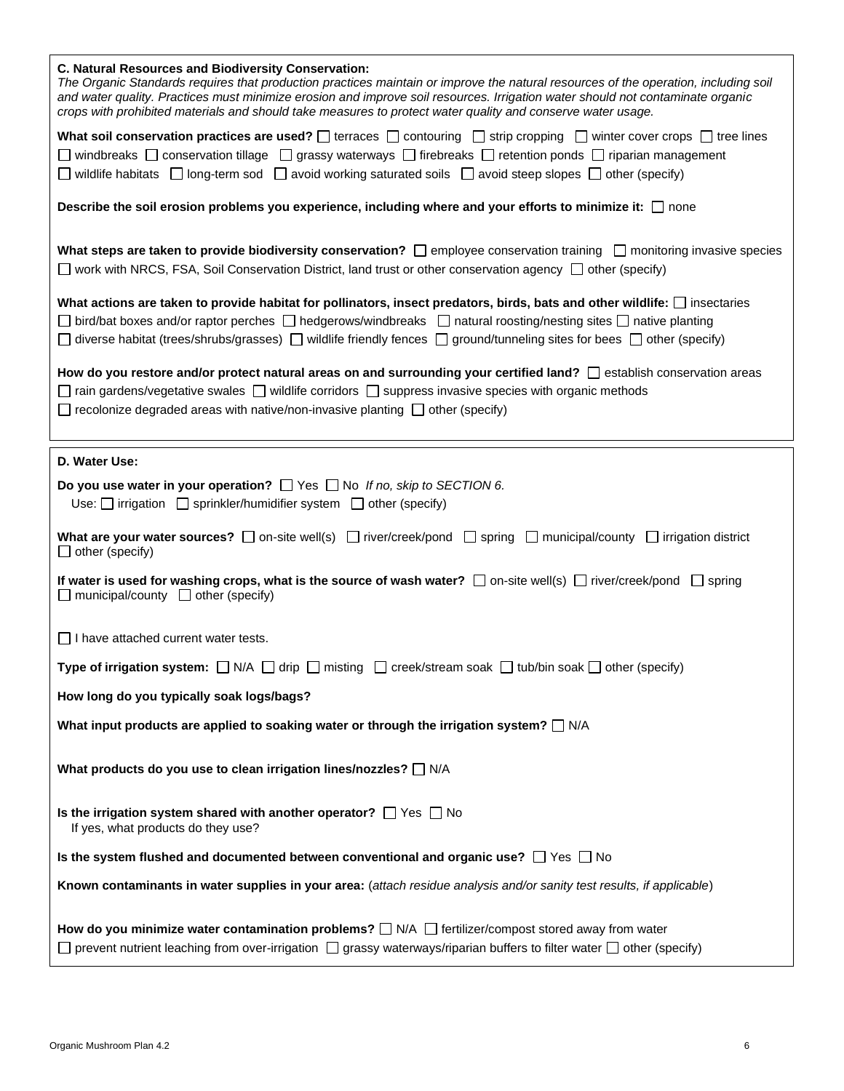| C. Natural Resources and Biodiversity Conservation:<br>The Organic Standards requires that production practices maintain or improve the natural resources of the operation, including soil<br>and water quality. Practices must minimize erosion and improve soil resources. Irrigation water should not contaminate organic<br>crops with prohibited materials and should take measures to protect water quality and conserve water usage. |
|---------------------------------------------------------------------------------------------------------------------------------------------------------------------------------------------------------------------------------------------------------------------------------------------------------------------------------------------------------------------------------------------------------------------------------------------|
| What soil conservation practices are used? $\Box$ terraces $\Box$ contouring $\Box$ strip cropping $\Box$ winter cover crops $\Box$ tree lines<br>□ windbreaks □ conservation tillage □ grassy waterways □ firebreaks □ retention ponds □ riparian management<br>$\Box$ wildlife habitats $\Box$ long-term sod $\Box$ avoid working saturated soils $\Box$ avoid steep slopes $\Box$ other (specify)                                        |
| Describe the soil erosion problems you experience, including where and your efforts to minimize it: □ none                                                                                                                                                                                                                                                                                                                                  |
| What steps are taken to provide biodiversity conservation? $\Box$ employee conservation training $\Box$ monitoring invasive species<br>$\Box$ work with NRCS, FSA, Soil Conservation District, land trust or other conservation agency $\Box$ other (specify)                                                                                                                                                                               |
| What actions are taken to provide habitat for pollinators, insect predators, birds, bats and other wildlife: $\Box$ insectaries<br>$□$ bird/bat boxes and/or raptor perches $□$ hedgerows/windbreaks $□$ natural roosting/nesting sites $□$ native planting<br>$\Box$ diverse habitat (trees/shrubs/grasses) $\Box$ wildlife friendly fences $\Box$ ground/tunneling sites for bees $\Box$ other (specify)                                  |
| How do you restore and/or protect natural areas on and surrounding your certified land? $\Box$ establish conservation areas<br>$\Box$ rain gardens/vegetative swales $\Box$ wildlife corridors $\Box$ suppress invasive species with organic methods<br>$\Box$ recolonize degraded areas with native/non-invasive planting $\Box$ other (specify)                                                                                           |
| D. Water Use:                                                                                                                                                                                                                                                                                                                                                                                                                               |
| Do you use water in your operation? $\Box$ Yes $\Box$ No If no, skip to SECTION 6.<br>Use: $\Box$ irrigation $\Box$ sprinkler/humidifier system $\Box$ other (specify)                                                                                                                                                                                                                                                                      |
| What are your water sources? $\Box$ on-site well(s) $\Box$ river/creek/pond $\Box$ spring $\Box$ municipal/county $\Box$ irrigation district<br>$\Box$ other (specify)                                                                                                                                                                                                                                                                      |
| If water is used for washing crops, what is the source of wash water? $\Box$ on-site well(s) $\Box$ river/creek/pond $\Box$ spring<br>$\Box$ municipal/county $\Box$ other (specify)                                                                                                                                                                                                                                                        |
| $\Box$ I have attached current water tests.                                                                                                                                                                                                                                                                                                                                                                                                 |
| <b>Type of irrigation system:</b> $\Box$ N/A $\Box$ drip $\Box$ misting $\Box$ creek/stream soak $\Box$ tub/bin soak $\Box$ other (specify)                                                                                                                                                                                                                                                                                                 |
| How long do you typically soak logs/bags?                                                                                                                                                                                                                                                                                                                                                                                                   |
| What input products are applied to soaking water or through the irrigation system? $\square$ N/A                                                                                                                                                                                                                                                                                                                                            |
| What products do you use to clean irrigation lines/nozzles? N/A                                                                                                                                                                                                                                                                                                                                                                             |
| Is the irrigation system shared with another operator? $\Box$ Yes $\Box$ No<br>If yes, what products do they use?                                                                                                                                                                                                                                                                                                                           |
| Is the system flushed and documented between conventional and organic use? $\Box$ Yes $\Box$ No                                                                                                                                                                                                                                                                                                                                             |
| Known contaminants in water supplies in your area: (attach residue analysis and/or sanity test results, if applicable)                                                                                                                                                                                                                                                                                                                      |
|                                                                                                                                                                                                                                                                                                                                                                                                                                             |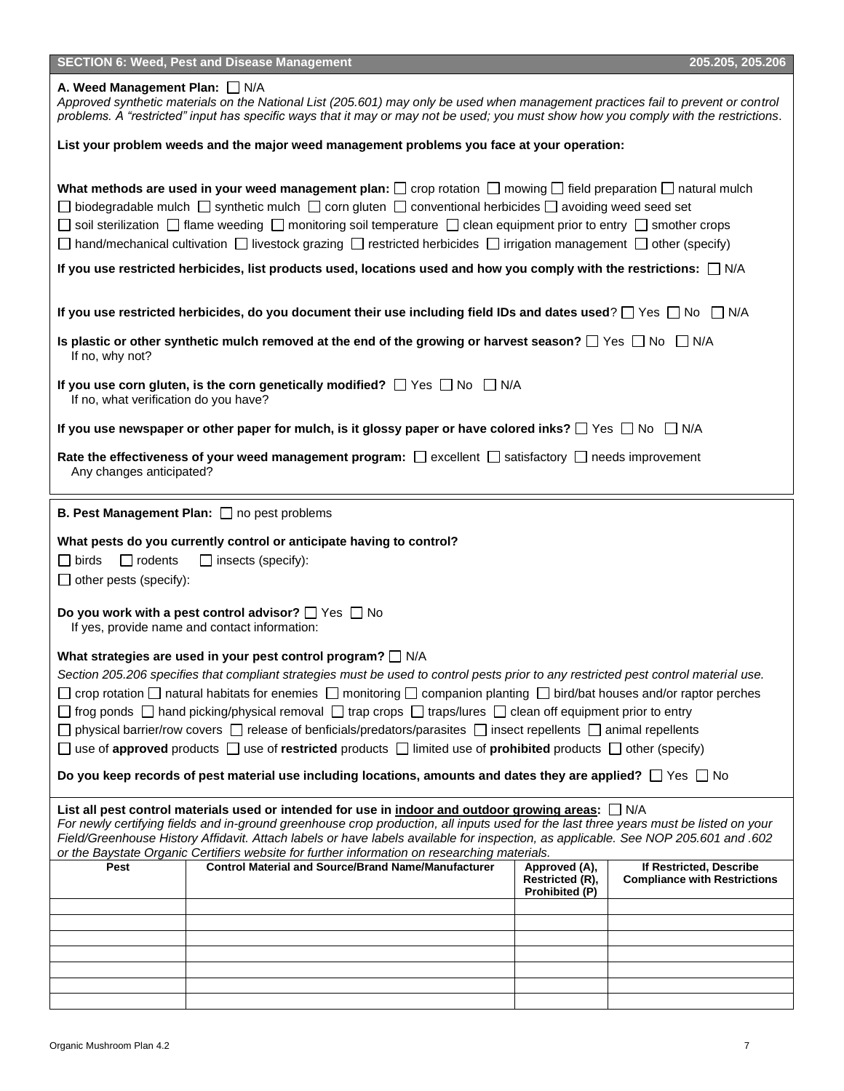| <b>SECTION 6: Weed, Pest and Disease Management</b>                                                                                                                                                                                                                                                                                                                                                                                                                                                                                                                                   |                                                                                                                       | 205.205, 205.206                                               |  |  |  |
|---------------------------------------------------------------------------------------------------------------------------------------------------------------------------------------------------------------------------------------------------------------------------------------------------------------------------------------------------------------------------------------------------------------------------------------------------------------------------------------------------------------------------------------------------------------------------------------|-----------------------------------------------------------------------------------------------------------------------|----------------------------------------------------------------|--|--|--|
| A. Weed Management Plan: N/A<br>Approved synthetic materials on the National List (205.601) may only be used when management practices fail to prevent or control<br>problems. A "restricted" input has specific ways that it may or may not be used; you must show how you comply with the restrictions.                                                                                                                                                                                                                                                                             |                                                                                                                       |                                                                |  |  |  |
| List your problem weeds and the major weed management problems you face at your operation:                                                                                                                                                                                                                                                                                                                                                                                                                                                                                            |                                                                                                                       |                                                                |  |  |  |
| What methods are used in your weed management plan: $\square$ crop rotation $\square$ mowing $\square$ field preparation $\square$ natural mulch<br>$\Box$ biodegradable mulch $\Box$ synthetic mulch $\Box$ corn gluten $\Box$ conventional herbicides $\Box$ avoiding weed seed set<br>$\Box$ soil sterilization $\Box$ flame weeding $\Box$ monitoring soil temperature $\Box$ clean equipment prior to entry $\Box$ smother crops<br>$\Box$ hand/mechanical cultivation $\Box$ livestock grazing $\Box$ restricted herbicides $\Box$ irrigation management $\Box$ other (specify) |                                                                                                                       |                                                                |  |  |  |
| If you use restricted herbicides, list products used, locations used and how you comply with the restrictions: $\Box$ N/A                                                                                                                                                                                                                                                                                                                                                                                                                                                             |                                                                                                                       |                                                                |  |  |  |
| If you use restricted herbicides, do you document their use including field IDs and dates used? $\Box$ Yes $\Box$ No $\Box$ N/A                                                                                                                                                                                                                                                                                                                                                                                                                                                       |                                                                                                                       |                                                                |  |  |  |
| Is plastic or other synthetic mulch removed at the end of the growing or harvest season? $\Box$ Yes $\Box$ No $\Box$ N/A<br>If no, why not?                                                                                                                                                                                                                                                                                                                                                                                                                                           |                                                                                                                       |                                                                |  |  |  |
| If you use corn gluten, is the corn genetically modified? $\Box$ Yes $\Box$ No $\Box$ N/A<br>If no, what verification do you have?                                                                                                                                                                                                                                                                                                                                                                                                                                                    |                                                                                                                       |                                                                |  |  |  |
| If you use newspaper or other paper for mulch, is it glossy paper or have colored inks? $\Box$ Yes $\Box$ No $\Box$ N/A                                                                                                                                                                                                                                                                                                                                                                                                                                                               |                                                                                                                       |                                                                |  |  |  |
| Any changes anticipated?                                                                                                                                                                                                                                                                                                                                                                                                                                                                                                                                                              | Rate the effectiveness of your weed management program: $\Box$ excellent $\Box$ satisfactory $\Box$ needs improvement |                                                                |  |  |  |
| <b>B. Pest Management Plan:</b> $\Box$ no pest problems                                                                                                                                                                                                                                                                                                                                                                                                                                                                                                                               |                                                                                                                       |                                                                |  |  |  |
| What pests do you currently control or anticipate having to control?                                                                                                                                                                                                                                                                                                                                                                                                                                                                                                                  |                                                                                                                       |                                                                |  |  |  |
| $\square$ birds<br>$\Box$ rodents<br>$\Box$ insects (specify):                                                                                                                                                                                                                                                                                                                                                                                                                                                                                                                        |                                                                                                                       |                                                                |  |  |  |
| $\Box$ other pests (specify):                                                                                                                                                                                                                                                                                                                                                                                                                                                                                                                                                         |                                                                                                                       |                                                                |  |  |  |
| Do you work with a pest control advisor? $\Box$ Yes $\Box$ No<br>If yes, provide name and contact information:                                                                                                                                                                                                                                                                                                                                                                                                                                                                        |                                                                                                                       |                                                                |  |  |  |
| What strategies are used in your pest control program? $\Box$ N/A                                                                                                                                                                                                                                                                                                                                                                                                                                                                                                                     |                                                                                                                       |                                                                |  |  |  |
| Section 205.206 specifies that compliant strategies must be used to control pests prior to any restricted pest control material use.                                                                                                                                                                                                                                                                                                                                                                                                                                                  |                                                                                                                       |                                                                |  |  |  |
| crop rotation $\Box$ natural habitats for enemies $\Box$ monitoring $\Box$ companion planting $\Box$ bird/bat houses and/or raptor perches                                                                                                                                                                                                                                                                                                                                                                                                                                            |                                                                                                                       |                                                                |  |  |  |
| $\Box$ frog ponds $\Box$ hand picking/physical removal $\Box$ trap crops $\Box$ traps/lures $\Box$ clean off equipment prior to entry                                                                                                                                                                                                                                                                                                                                                                                                                                                 |                                                                                                                       |                                                                |  |  |  |
| $\Box$ physical barrier/row covers $\Box$ release of benficials/predators/parasites $\Box$ insect repellents $\Box$ animal repellents                                                                                                                                                                                                                                                                                                                                                                                                                                                 |                                                                                                                       |                                                                |  |  |  |
| □ use of approved products □ use of restricted products □ limited use of prohibited products □ other (specify)                                                                                                                                                                                                                                                                                                                                                                                                                                                                        |                                                                                                                       |                                                                |  |  |  |
| Do you keep records of pest material use including locations, amounts and dates they are applied? $\Box$ Yes $\Box$ No                                                                                                                                                                                                                                                                                                                                                                                                                                                                |                                                                                                                       |                                                                |  |  |  |
| List all pest control materials used or intended for use in indoor and outdoor growing areas: $\Box$ N/A                                                                                                                                                                                                                                                                                                                                                                                                                                                                              |                                                                                                                       |                                                                |  |  |  |
| For newly certifying fields and in-ground greenhouse crop production, all inputs used for the last three years must be listed on your<br>Field/Greenhouse History Affidavit. Attach labels or have labels available for inspection, as applicable. See NOP 205.601 and .602<br>or the Baystate Organic Certifiers website for further information on researching materials.                                                                                                                                                                                                           |                                                                                                                       |                                                                |  |  |  |
| <b>Control Material and Source/Brand Name/Manufacturer</b><br>Pest                                                                                                                                                                                                                                                                                                                                                                                                                                                                                                                    | Approved (A),<br>Restricted (R),<br>Prohibited (P)                                                                    | If Restricted, Describe<br><b>Compliance with Restrictions</b> |  |  |  |
|                                                                                                                                                                                                                                                                                                                                                                                                                                                                                                                                                                                       |                                                                                                                       |                                                                |  |  |  |
|                                                                                                                                                                                                                                                                                                                                                                                                                                                                                                                                                                                       |                                                                                                                       |                                                                |  |  |  |
|                                                                                                                                                                                                                                                                                                                                                                                                                                                                                                                                                                                       |                                                                                                                       |                                                                |  |  |  |
|                                                                                                                                                                                                                                                                                                                                                                                                                                                                                                                                                                                       |                                                                                                                       |                                                                |  |  |  |
|                                                                                                                                                                                                                                                                                                                                                                                                                                                                                                                                                                                       |                                                                                                                       |                                                                |  |  |  |
|                                                                                                                                                                                                                                                                                                                                                                                                                                                                                                                                                                                       |                                                                                                                       |                                                                |  |  |  |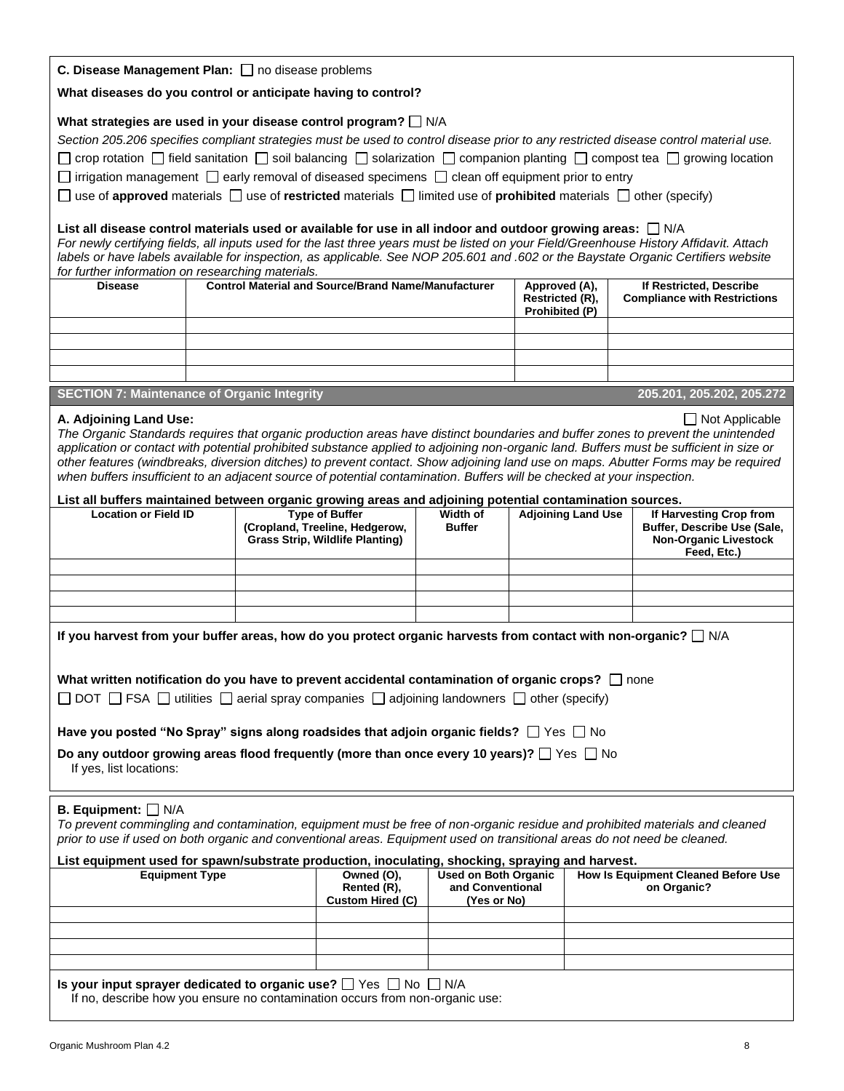| C. Disease Management Plan: no disease problems |  |  |  |  |  |
|-------------------------------------------------|--|--|--|--|--|
|-------------------------------------------------|--|--|--|--|--|

**What diseases do you control or anticipate having to control?**

### What strategies are used in your disease control program?  $\Box$  N/A

| Section 205.206 specifies compliant strategies must be used to control disease prior to any restricted disease control material use.                        |
|-------------------------------------------------------------------------------------------------------------------------------------------------------------|
| $\Box$ crop rotation $\Box$ field sanitation $\Box$ soil balancing $\Box$ solarization $\Box$ companion planting $\Box$ compost tea $\Box$ growing location |
| $\Box$ irrigation management $\Box$ early removal of diseased specimens $\Box$ clean off equipment prior to entry                                           |

 $\Box$  use of **approved** materials  $\Box$  use of **restricted** materials  $\Box$  limited use of **prohibited** materials  $\Box$  other (specify)

#### List all disease control materials used or available for use in all indoor and outdoor growing areas:  $\Box$  N/A

*For newly certifying fields, all inputs used for the last three years must be listed on your Field/Greenhouse History Affidavit. Attach labels or have labels available for inspection, as applicable. See NOP 205.601 and .602 or the Baystate Organic Certifiers website for further information on researching materials.*

| <b>Disease</b> | <b>Control Material and Source/Brand Name/Manufacturer</b> | Approved (A),<br>Restricted (R),<br><b>Prohibited (P)</b> | If Restricted, Describe<br><b>Compliance with Restrictions</b> |
|----------------|------------------------------------------------------------|-----------------------------------------------------------|----------------------------------------------------------------|
|                |                                                            |                                                           |                                                                |
|                |                                                            |                                                           |                                                                |
|                |                                                            |                                                           |                                                                |
|                |                                                            |                                                           |                                                                |

# **SECTION 7: Maintenance of Organic Integrity 205.201, 205.202, 205.272**

#### **A. Adjoining Land Use:**  $\Box$  Not Applicable

*The Organic Standards requires that organic production areas have distinct boundaries and buffer zones to prevent the unintended application or contact with potential prohibited substance applied to adjoining non-organic land. Buffers must be sufficient in size or other features (windbreaks, diversion ditches) to prevent contact. Show adjoining land use on maps. Abutter Forms may be required when buffers insufficient to an adjacent source of potential contamination. Buffers will be checked at your inspection.*

#### **List all buffers maintained between organic growing areas and adjoining potential contamination sources.**

|                             |                                        | . .           |                           |                              |
|-----------------------------|----------------------------------------|---------------|---------------------------|------------------------------|
| <b>Location or Field ID</b> | <b>Type of Buffer</b>                  | Width of      | <b>Adjoining Land Use</b> | If Harvesting Crop from      |
|                             | (Cropland, Treeline, Hedgerow,         | <b>Buffer</b> |                           | Buffer, Describe Use (Sale,  |
|                             | <b>Grass Strip, Wildlife Planting)</b> |               |                           | <b>Non-Organic Livestock</b> |
|                             |                                        |               |                           | Feed, Etc.)                  |
|                             |                                        |               |                           |                              |
|                             |                                        |               |                           |                              |
|                             |                                        |               |                           |                              |
|                             |                                        |               |                           |                              |

**If you harvest from your buffer areas, how do you protect organic harvests from contact with non-organic?** N/A

| What written notification do you have to prevent accidental contamination of organic crops? $\Box$ none |  |
|---------------------------------------------------------------------------------------------------------|--|
|---------------------------------------------------------------------------------------------------------|--|

 $\Box$  DOT  $\Box$  FSA  $\Box$  utilities  $\Box$  aerial spray companies  $\Box$  adjoining landowners  $\Box$  other (specify)

**Have you posted "No Spray" signs along roadsides that adjoin organic fields?**  $\Box$  Yes  $\Box$  No

| Do any outdoor growing areas flood frequently (more than once every 10 years)? $\Box$ Yes $\Box$ No |  |
|-----------------------------------------------------------------------------------------------------|--|
| If yes, list locations:                                                                             |  |

#### **B. Equipment:** N/A

*To prevent commingling and contamination, equipment must be free of non-organic residue and prohibited materials and cleaned prior to use if used on both organic and conventional areas. Equipment used on transitional areas do not need be cleaned.*

| List equipment used for spawn/substrate production, inoculating, shocking, spraying and harvest.                                                                |                                                      |                                                                |                                                           |  |
|-----------------------------------------------------------------------------------------------------------------------------------------------------------------|------------------------------------------------------|----------------------------------------------------------------|-----------------------------------------------------------|--|
| <b>Equipment Type</b>                                                                                                                                           | Owned (O),<br>Rented (R),<br><b>Custom Hired (C)</b> | <b>Used on Both Organic</b><br>and Conventional<br>(Yes or No) | <b>How Is Equipment Cleaned Before Use</b><br>on Organic? |  |
|                                                                                                                                                                 |                                                      |                                                                |                                                           |  |
|                                                                                                                                                                 |                                                      |                                                                |                                                           |  |
|                                                                                                                                                                 |                                                      |                                                                |                                                           |  |
|                                                                                                                                                                 |                                                      |                                                                |                                                           |  |
| Is your input sprayer dedicated to organic use? $\Box$ Yes $\Box$ No $\Box$ N/A<br>If no, describe how you ensure no contamination occurs from non-organic use: |                                                      |                                                                |                                                           |  |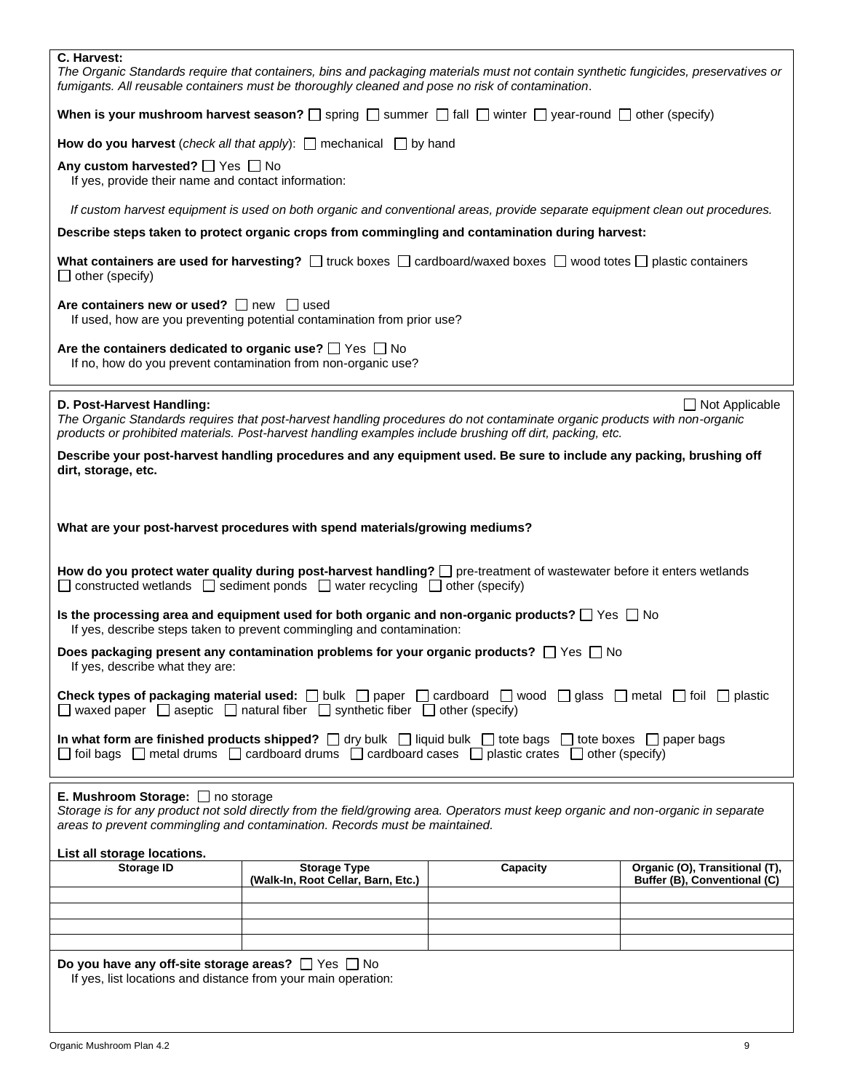| C. Harvest:                                                                                                                                                                                                                                                           | fumigants. All reusable containers must be thoroughly cleaned and pose no risk of contamination.     | The Organic Standards require that containers, bins and packaging materials must not contain synthetic fungicides, preservatives or                                                                                                    |                                                                |
|-----------------------------------------------------------------------------------------------------------------------------------------------------------------------------------------------------------------------------------------------------------------------|------------------------------------------------------------------------------------------------------|----------------------------------------------------------------------------------------------------------------------------------------------------------------------------------------------------------------------------------------|----------------------------------------------------------------|
| When is your mushroom harvest season? $\square$ spring $\square$ summer $\square$ fall $\square$ winter $\square$ year-round $\square$ other (specify)                                                                                                                |                                                                                                      |                                                                                                                                                                                                                                        |                                                                |
|                                                                                                                                                                                                                                                                       | How do you harvest (check all that apply): $\Box$ mechanical $\Box$ by hand                          |                                                                                                                                                                                                                                        |                                                                |
| Any custom harvested? □ Yes □ No<br>If yes, provide their name and contact information:                                                                                                                                                                               |                                                                                                      |                                                                                                                                                                                                                                        |                                                                |
|                                                                                                                                                                                                                                                                       |                                                                                                      | If custom harvest equipment is used on both organic and conventional areas, provide separate equipment clean out procedures.                                                                                                           |                                                                |
| Describe steps taken to protect organic crops from commingling and contamination during harvest:                                                                                                                                                                      |                                                                                                      |                                                                                                                                                                                                                                        |                                                                |
| $\Box$ other (specify)                                                                                                                                                                                                                                                |                                                                                                      | What containers are used for harvesting? $\Box$ truck boxes $\Box$ cardboard/waxed boxes $\Box$ wood totes $\Box$ plastic containers                                                                                                   |                                                                |
| Are containers new or used? $\Box$ new $\Box$ used                                                                                                                                                                                                                    | If used, how are you preventing potential contamination from prior use?                              |                                                                                                                                                                                                                                        |                                                                |
| Are the containers dedicated to organic use? $\Box$ Yes $\Box$ No                                                                                                                                                                                                     | If no, how do you prevent contamination from non-organic use?                                        |                                                                                                                                                                                                                                        |                                                                |
| D. Post-Harvest Handling:                                                                                                                                                                                                                                             |                                                                                                      | The Organic Standards requires that post-harvest handling procedures do not contaminate organic products with non-organic<br>products or prohibited materials. Post-harvest handling examples include brushing off dirt, packing, etc. | $\Box$ Not Applicable                                          |
| Describe your post-harvest handling procedures and any equipment used. Be sure to include any packing, brushing off<br>dirt, storage, etc.                                                                                                                            |                                                                                                      |                                                                                                                                                                                                                                        |                                                                |
|                                                                                                                                                                                                                                                                       |                                                                                                      |                                                                                                                                                                                                                                        |                                                                |
|                                                                                                                                                                                                                                                                       | What are your post-harvest procedures with spend materials/growing mediums?                          |                                                                                                                                                                                                                                        |                                                                |
| How do you protect water quality during post-harvest handling? $\Box$ pre-treatment of wastewater before it enters wetlands<br>$\Box$ constructed wetlands $\Box$ sediment ponds $\Box$ water recycling $\Box$ other (specify)                                        |                                                                                                      |                                                                                                                                                                                                                                        |                                                                |
| Is the processing area and equipment used for both organic and non-organic products? $\Box$ Yes $\Box$ No<br>If yes, describe steps taken to prevent commingling and contamination:                                                                                   |                                                                                                      |                                                                                                                                                                                                                                        |                                                                |
| If yes, describe what they are:                                                                                                                                                                                                                                       |                                                                                                      | Does packaging present any contamination problems for your organic products? $\Box$ Yes $\Box$ No                                                                                                                                      |                                                                |
|                                                                                                                                                                                                                                                                       | $\Box$ waxed paper $\Box$ aseptic $\Box$ natural fiber $\Box$ synthetic fiber $\Box$ other (specify) | <b>Check types of packaging material used:</b> $\Box$ bulk $\Box$ paper $\Box$ cardboard $\Box$ wood $\Box$ glass $\Box$ metal $\Box$ foil $\Box$ plastic                                                                              |                                                                |
| In what form are finished products shipped? $\Box$ dry bulk $\Box$ liquid bulk $\Box$ tote bags $\Box$ tote boxes $\Box$ paper bags<br>$\Box$ foil bags $\Box$ metal drums $\Box$ cardboard drums $\Box$ cardboard cases $\Box$ plastic crates $\Box$ other (specify) |                                                                                                      |                                                                                                                                                                                                                                        |                                                                |
| <b>E. Mushroom Storage:</b> $\Box$ no storage<br>Storage is for any product not sold directly from the field/growing area. Operators must keep organic and non-organic in separate<br>areas to prevent commingling and contamination. Records must be maintained.     |                                                                                                      |                                                                                                                                                                                                                                        |                                                                |
| List all storage locations.                                                                                                                                                                                                                                           |                                                                                                      |                                                                                                                                                                                                                                        |                                                                |
| <b>Storage ID</b>                                                                                                                                                                                                                                                     | <b>Storage Type</b><br>(Walk-In, Root Cellar, Barn, Etc.)                                            | Capacity                                                                                                                                                                                                                               | Organic (O), Transitional (T),<br>Buffer (B), Conventional (C) |
|                                                                                                                                                                                                                                                                       |                                                                                                      |                                                                                                                                                                                                                                        |                                                                |
|                                                                                                                                                                                                                                                                       |                                                                                                      |                                                                                                                                                                                                                                        |                                                                |
|                                                                                                                                                                                                                                                                       |                                                                                                      |                                                                                                                                                                                                                                        |                                                                |
| Do you have any off-site storage areas? $\Box$ Yes $\Box$ No<br>If yes, list locations and distance from your main operation:                                                                                                                                         |                                                                                                      |                                                                                                                                                                                                                                        |                                                                |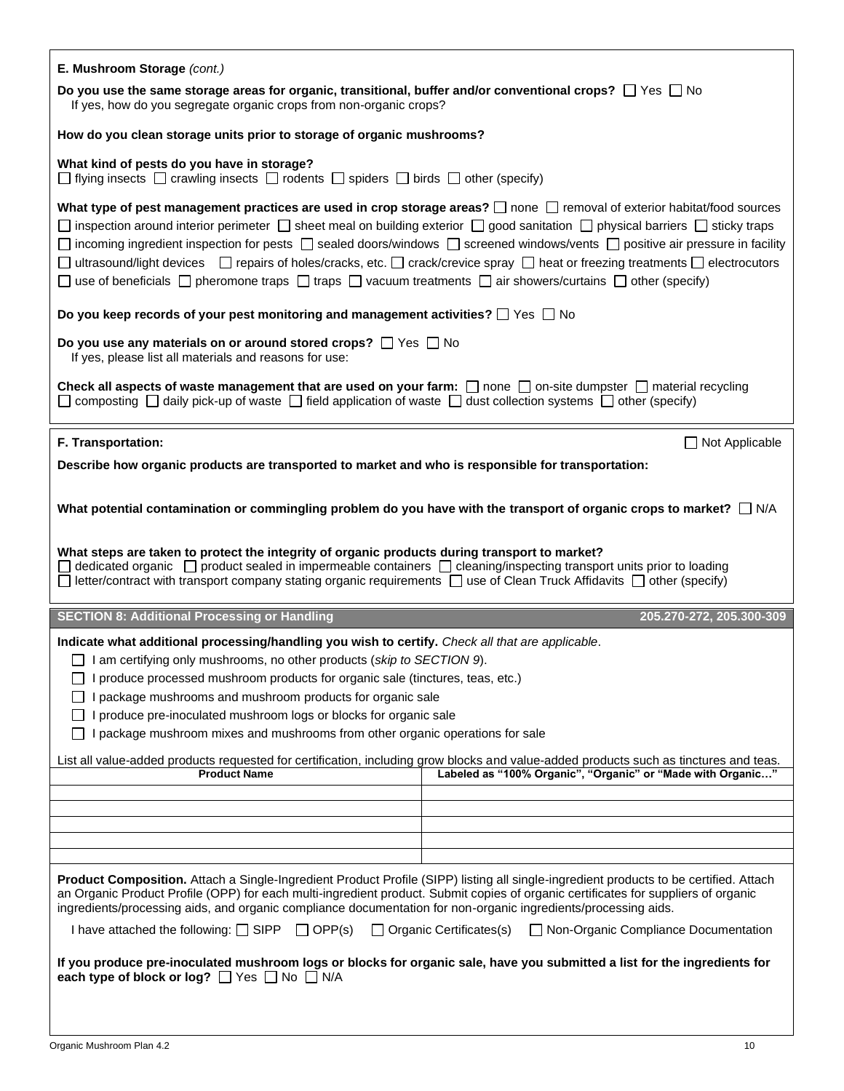| E. Mushroom Storage (cont.)                                                                                                                                                                                                                                                                                                                                                                                                                                                                                                                                                                                                                            |
|--------------------------------------------------------------------------------------------------------------------------------------------------------------------------------------------------------------------------------------------------------------------------------------------------------------------------------------------------------------------------------------------------------------------------------------------------------------------------------------------------------------------------------------------------------------------------------------------------------------------------------------------------------|
| Do you use the same storage areas for organic, transitional, buffer and/or conventional crops? $\Box$ Yes $\Box$ No<br>If yes, how do you segregate organic crops from non-organic crops?                                                                                                                                                                                                                                                                                                                                                                                                                                                              |
| How do you clean storage units prior to storage of organic mushrooms?                                                                                                                                                                                                                                                                                                                                                                                                                                                                                                                                                                                  |
| What kind of pests do you have in storage?<br>$\Box$ flying insects $\Box$ crawling insects $\Box$ rodents $\Box$ spiders $\Box$ birds $\Box$ other (specify)                                                                                                                                                                                                                                                                                                                                                                                                                                                                                          |
| What type of pest management practices are used in crop storage areas? $\Box$ none $\Box$ removal of exterior habitat/food sources<br>□ inspection around interior perimeter □ sheet meal on building exterior □ good sanitation □ physical barriers □ sticky traps<br>□ incoming ingredient inspection for pests □ sealed doors/windows □ screened windows/vents □ positive air pressure in facility<br>□ ultrasound/light devices □ repairs of holes/cracks, etc. □ crack/crevice spray □ heat or freezing treatments □ electrocutors<br>□ use of beneficials □ pheromone traps □ traps □ vacuum treatments □ air showers/curtains □ other (specify) |
| Do you keep records of your pest monitoring and management activities? $\Box$ Yes $\Box$ No                                                                                                                                                                                                                                                                                                                                                                                                                                                                                                                                                            |
| Do you use any materials on or around stored crops? $\Box$ Yes $\Box$ No<br>If yes, please list all materials and reasons for use:                                                                                                                                                                                                                                                                                                                                                                                                                                                                                                                     |
| Check all aspects of waste management that are used on your farm: $\Box$ none $\Box$ on-site dumpster $\Box$ material recycling<br>$\Box$ composting $\Box$ daily pick-up of waste $\Box$ field application of waste $\Box$ dust collection systems $\Box$ other (specify)                                                                                                                                                                                                                                                                                                                                                                             |
| F. Transportation:<br>$\Box$ Not Applicable                                                                                                                                                                                                                                                                                                                                                                                                                                                                                                                                                                                                            |
| Describe how organic products are transported to market and who is responsible for transportation:                                                                                                                                                                                                                                                                                                                                                                                                                                                                                                                                                     |
| What potential contamination or commingling problem do you have with the transport of organic crops to market? $\Box$ N/A                                                                                                                                                                                                                                                                                                                                                                                                                                                                                                                              |
| What steps are taken to protect the integrity of organic products during transport to market?<br>$\Box$ letter/contract with transport company stating organic requirements $\Box$ use of Clean Truck Affidavits $\Box$ other (specify)                                                                                                                                                                                                                                                                                                                                                                                                                |
| <b>SECTION 8: Additional Processing or Handling</b><br>205.270-272, 205.300-309                                                                                                                                                                                                                                                                                                                                                                                                                                                                                                                                                                        |
| Indicate what additional processing/handling you wish to certify. Check all that are applicable.                                                                                                                                                                                                                                                                                                                                                                                                                                                                                                                                                       |
| $\Box$ I am certifying only mushrooms, no other products (skip to SECTION 9).                                                                                                                                                                                                                                                                                                                                                                                                                                                                                                                                                                          |
| I produce processed mushroom products for organic sale (tinctures, teas, etc.)                                                                                                                                                                                                                                                                                                                                                                                                                                                                                                                                                                         |
| I package mushrooms and mushroom products for organic sale                                                                                                                                                                                                                                                                                                                                                                                                                                                                                                                                                                                             |
| produce pre-inoculated mushroom logs or blocks for organic sale                                                                                                                                                                                                                                                                                                                                                                                                                                                                                                                                                                                        |
| package mushroom mixes and mushrooms from other organic operations for sale                                                                                                                                                                                                                                                                                                                                                                                                                                                                                                                                                                            |
| List all value-added products requested for certification, including grow blocks and value-added products such as tinctures and teas.<br>Labeled as "100% Organic", "Organic" or "Made with Organic"<br><b>Product Name</b>                                                                                                                                                                                                                                                                                                                                                                                                                            |
|                                                                                                                                                                                                                                                                                                                                                                                                                                                                                                                                                                                                                                                        |
|                                                                                                                                                                                                                                                                                                                                                                                                                                                                                                                                                                                                                                                        |
|                                                                                                                                                                                                                                                                                                                                                                                                                                                                                                                                                                                                                                                        |
|                                                                                                                                                                                                                                                                                                                                                                                                                                                                                                                                                                                                                                                        |
|                                                                                                                                                                                                                                                                                                                                                                                                                                                                                                                                                                                                                                                        |
| Product Composition. Attach a Single-Ingredient Product Profile (SIPP) listing all single-ingredient products to be certified. Attach<br>an Organic Product Profile (OPP) for each multi-ingredient product. Submit copies of organic certificates for suppliers of organic<br>ingredients/processing aids, and organic compliance documentation for non-organic ingredients/processing aids.                                                                                                                                                                                                                                                          |
| I have attached the following: $\Box$ SIPP $\Box$ OPP(s)<br>$\Box$ Organic Certificates(s)<br>□ Non-Organic Compliance Documentation                                                                                                                                                                                                                                                                                                                                                                                                                                                                                                                   |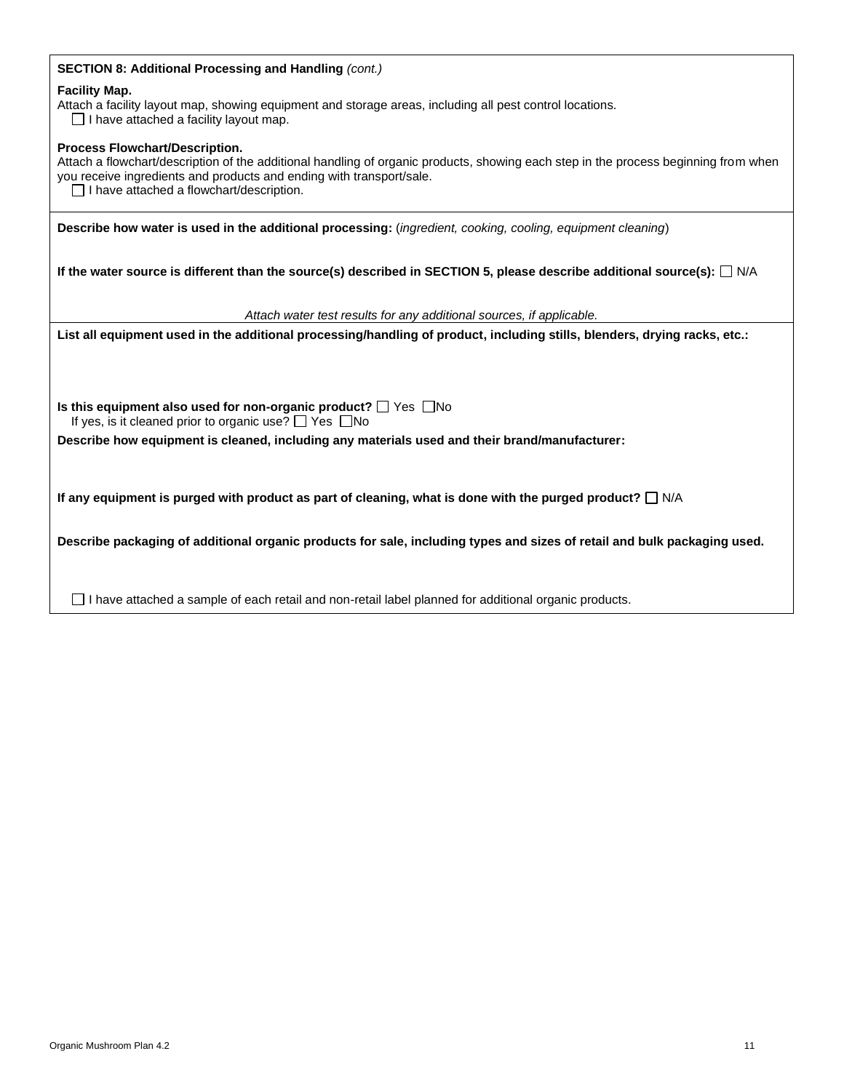## **SECTION 8: Additional Processing and Handling** *(cont.)*

#### **Facility Map.**

Attach a facility layout map, showing equipment and storage areas, including all pest control locations.

 $\Box$  I have attached a facility layout map.

#### **Process Flowchart/Description.**

Attach a flowchart/description of the additional handling of organic products, showing each step in the process beginning from when you receive ingredients and products and ending with transport/sale.

 $\Box$  I have attached a flowchart/description.

**Describe how water is used in the additional processing:** (*ingredient, cooking, cooling, equipment cleaning*)

**If the water source is different than the source(s) described in SECTION 5, please describe additional source(s):** □ N/A

*Attach water test results for any additional sources, if applicable.*

**List all equipment used in the additional processing/handling of product, including stills, blenders, drying racks, etc.:**

**Is this equipment also used for non-organic product?**  $\Box$  Yes  $\Box$  No If yes, is it cleaned prior to organic use?  $\Box$  Yes  $\Box$  No

**Describe how equipment is cleaned, including any materials used and their brand/manufacturer:**

If any equipment is purged with product as part of cleaning, what is done with the purged product?  $\Box$  N/A

**Describe packaging of additional organic products for sale, including types and sizes of retail and bulk packaging used.** 

 $\Box$  I have attached a sample of each retail and non-retail label planned for additional organic products.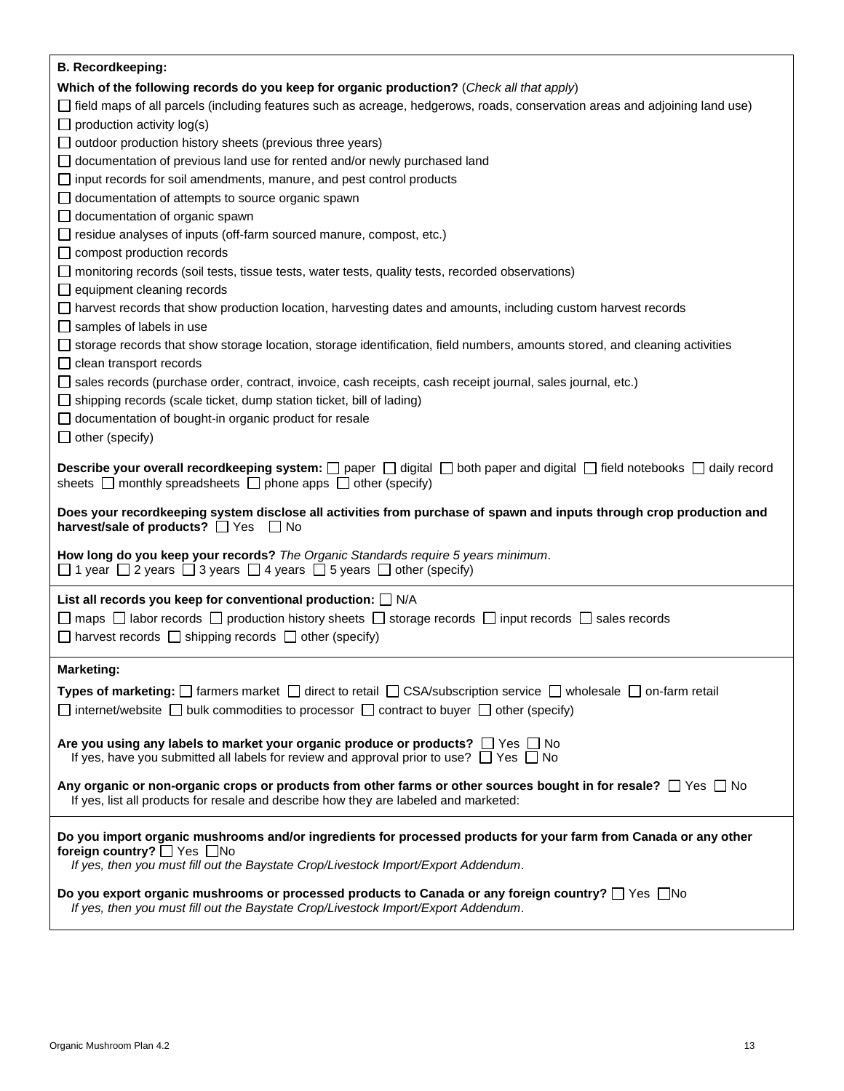| <b>B. Recordkeeping:</b>                                                                                                                                                                                                                        |
|-------------------------------------------------------------------------------------------------------------------------------------------------------------------------------------------------------------------------------------------------|
| Which of the following records do you keep for organic production? (Check all that apply)                                                                                                                                                       |
| field maps of all parcels (including features such as acreage, hedgerows, roads, conservation areas and adjoining land use)                                                                                                                     |
| $\Box$ production activity log(s)                                                                                                                                                                                                               |
| outdoor production history sheets (previous three years)                                                                                                                                                                                        |
| documentation of previous land use for rented and/or newly purchased land                                                                                                                                                                       |
| input records for soil amendments, manure, and pest control products                                                                                                                                                                            |
| documentation of attempts to source organic spawn                                                                                                                                                                                               |
| $\Box$ documentation of organic spawn                                                                                                                                                                                                           |
| $\Box$ residue analyses of inputs (off-farm sourced manure, compost, etc.)                                                                                                                                                                      |
| $\Box$ compost production records                                                                                                                                                                                                               |
| monitoring records (soil tests, tissue tests, water tests, quality tests, recorded observations)                                                                                                                                                |
| $\Box$ equipment cleaning records                                                                                                                                                                                                               |
| ∐ harvest records that show production location, harvesting dates and amounts, including custom harvest records                                                                                                                                 |
| samples of labels in use                                                                                                                                                                                                                        |
| storage records that show storage location, storage identification, field numbers, amounts stored, and cleaning activities                                                                                                                      |
| clean transport records                                                                                                                                                                                                                         |
| □ sales records (purchase order, contract, invoice, cash receipts, cash receipt journal, sales journal, etc.)                                                                                                                                   |
| $\Box$ shipping records (scale ticket, dump station ticket, bill of lading)                                                                                                                                                                     |
| $\Box$ documentation of bought-in organic product for resale                                                                                                                                                                                    |
| $\Box$ other (specify)                                                                                                                                                                                                                          |
| <b>Describe your overall recordkeeping system:</b> $\Box$ paper $\Box$ digital $\Box$ both paper and digital $\Box$ field notebooks $\Box$ daily record<br>sheets $\Box$ monthly spreadsheets $\Box$ phone apps $\Box$ other (specify)          |
| Does your recordkeeping system disclose all activities from purchase of spawn and inputs through crop production and<br>harvest/sale of products? □ Yes □ No                                                                                    |
| How long do you keep your records? The Organic Standards require 5 years minimum.<br>$\Box$ 1 year $\Box$ 2 years $\Box$ 3 years $\Box$ 4 years $\Box$ 5 years $\Box$ other (specify)                                                           |
| List all records you keep for conventional production: $\Box$ N/A                                                                                                                                                                               |
| $\Box$ maps $\Box$ labor records $\Box$ production history sheets $\Box$ storage records $\Box$ input records $\Box$ sales records                                                                                                              |
| $\Box$ harvest records $\Box$ shipping records $\Box$ other (specify)                                                                                                                                                                           |
|                                                                                                                                                                                                                                                 |
| <b>Marketing:</b>                                                                                                                                                                                                                               |
| Types of marketing: $\Box$ farmers market $\Box$ direct to retail $\Box$ CSA/subscription service $\Box$ wholesale $\Box$ on-farm retail                                                                                                        |
| $\Box$ internet/website $\Box$ bulk commodities to processor $\Box$ contract to buyer $\Box$ other (specify)                                                                                                                                    |
|                                                                                                                                                                                                                                                 |
| Are you using any labels to market your organic produce or products? $\Box$ Yes $\Box$ No<br>If yes, have you submitted all labels for review and approval prior to use? $\Box$ Yes $\Box$ No                                                   |
| Any organic or non-organic crops or products from other farms or other sources bought in for resale? $\Box$ Yes $\Box$ No<br>If yes, list all products for resale and describe how they are labeled and marketed:                               |
| Do you import organic mushrooms and/or ingredients for processed products for your farm from Canada or any other<br>foreign country? $\Box$ Yes $\Box$ No<br>If yes, then you must fill out the Baystate Crop/Livestock Import/Export Addendum. |
| Do you export organic mushrooms or processed products to Canada or any foreign country? $\Box$ Yes $\Box$ No<br>If yes, then you must fill out the Baystate Crop/Livestock Import/Export Addendum.                                              |